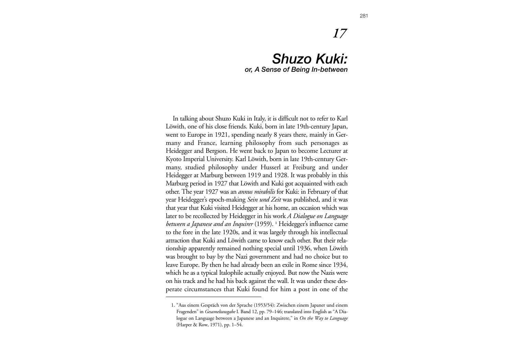# *17*

## *Shuzo Kuki: or, A Sense of Being In-between*

In talking about Shuzo Kuki in Italy, it is difficult not to refer to Karl Löwith, one of his close friends. Kuki, born in late 19th-century Japan, went to Europe in 1921, spending nearly 8 years there, mainly in Germany and France, learning philosophy from such personages as Heidegger and Bergson. He went back to Japan to become Lecturer at Kyoto Imperial University. Karl Löwith, born in late 19th-century Germany, studied philosophy under Husserl at Freiburg and under Heidegger at Marburg between 1919 and 1928. It was probably in this Marburg period in 1927 that Löwith and Kuki got acquainted with each other. The year 1927 was an *annus mirabilis* for Kuki: in February of that year Heidegger's epoch-making *Sein und Zeit* was published, and it was that year that Kuki visited Heidegger at his home, an occasion which was later to be recollected by Heidegger in his work *A Dialogue on Language between a Japanese and an Inquirer* (1959). **<sup>1</sup>** Heidegger's influence came to the fore in the late 1920s, and it was largely through his intellectual attraction that Kuki and Löwith came to know each other. But their relationship apparently remained nothing special until 1936, when Löwith was brought to bay by the Nazi government and had no choice but to leave Europe. By then he had already been an exile in Rome since 1934, which he as a typical Italophile actually enjoyed. But now the Nazis were on his track and he had his back against the wall. It was under these desperate circumstances that Kuki found for him a post in one of the

<sup>1. &</sup>quot;Aus einem Gespräch von der Sprache (1953/54): Zwischen einem Japaner und einem Fragenden" in *Gesameltausgabe* I. Band 12, pp. 79–146; translated into English as "A Dialogue on Language between a Japanese and an Inquirere," in *On the Way to Language* (Harper & Row, 1971), pp. 1–54.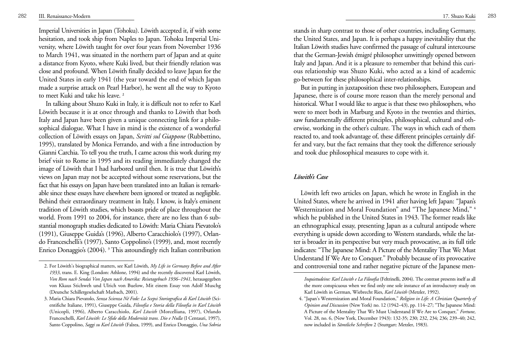Imperial Universities in Japan (Tohoku). Löwith accepted it, if with some hesitation, and took ship from Naples to Japan. Tohoku Imperial University, where Löwith taught for over four years from November 1936 to March 1941, was situated in the northern part of Japan and at quite a distance from Kyoto, where Kuki lived, but their friendly relation was close and profound. When Löwith finally decided to leave Japan for the United States in early 1941 (the year toward the end of which Japan made a surprise attack on Pearl Harbor), he went all the way to Kyoto to meet Kuki and take his leave. **<sup>2</sup>**

In talking about Shuzo Kuki in Italy, it is difficult not to refer to Karl Löwith because it is at once through and thanks to Löwith that both Italy and Japan have been given a unique connecting link for a philosophical dialogue. What I have in mind is the existence of a wonderful collection of Löwith essays on Japan, *Scritti sul Giappone* (Rubbettino, 1995), translated by Monica Ferrando, and with a fine introduction by Gianni Carchia. To tell you the truth, I came across this work during my brief visit to Rome in 1995 and its reading immediately changed the image of Löwith that I had harbored until then. It is true that Löwith's views on Japan may not be accepted without some reservations, but the fact that his essays on Japan have been translated into an Italian is remarkable since these essays have elsewhere been ignored or treated as negligible. Behind their extraordinary treatment in Italy, I know, is Italy's eminent tradition of Löwith studies, which boasts pride of place throughout the world. From 1991 to 2004, for instance, there are no less than 6 substantial monograph studies dedicated to Löwith: Maria Chiara Pievatolo's (1991), Giuseppe Guida's (1996), Alberto Caracchiolo's (1997), Orlando Franceschelli's (1997), Santo Coppolino's (1999), and, most recently Enrico Donaggio's (2004). **<sup>3</sup>** This astoundingly rich Italian contribution

stands in sharp contrast to those of other countries, including Germany, the United States, and Japan. It is perhaps a happy inevitability that the Italian Löwith studies have confirmed the passage of cultural intercourse that the German-Jewish émigré philosopher unwittingly opened between Italy and Japan. And it is a pleasure to remember that behind this curious relationship was Shuzo Kuki, who acted as a kind of academic go-between for these philosophical inter-relationships.

But in putting in juxtaposition these two philosophers, European and Japanese, there is of course more reason than the merely personal and historical. What I would like to argue is that these two philosophers, who were to meet both in Marburg and Kyoto in the twenties and thirties, saw fundamentally different principles, philosophical, cultural and otherwise, working in the other's culture. The ways in which each of them reacted to, and took advantage of, these different principles certainly differ and vary, but the fact remains that they took the difference seriously and took due philosophical measures to cope with it.

#### *Löwith's Case*

Löwith left two articles on Japan, which he wrote in English in the United States, where he arrived in 1941 after having left Japan: "Japan's Westernization and Moral Foundation" and "The Japanese Mind," **<sup>4</sup>** which he published in the United States in 1943. The former reads like an ethnographical essay, presenting Japan as a cultural antipode where everything is upside down according to Western standards, while the latter is broader in its perspective but very much provocative, as its full title indicates: "The Japanese Mind: A Picture of the Mentality That We Must Understand If We Are to Conquer." Probably because of its provocative and controversial tone and rather negative picture of the Japanese men-

<sup>2.</sup> For Löwith's biographical matters, see Karl Löwith, *My Life in Germany Before and After 1933*, trans. E. King (London: Athlone, 1994) and the recently discovered Karl Löwith, *Von Rom nach Sendai Von Japan nach Amerika: Reisetagebuch 1936–1941*, herausgegeben von Kkaus Stichweh und Ulrich von Buelow, Mit einem Essay von Adolf Muschg (Deutsche Schillergeselschaft Marbach, 2001).

<sup>3.</sup> Maria Chiara Pievatolo, *Senza Scienza Né Fede: La Scepsi Storiografica di Karl Löwith* (Scientifiche Italiane, 1991), Giuseppe Guida, *Filosofia e Storia della Filosofia in Karl Löwith* (Unicopli, 1996), Alberto Caracchiolo, *Karl Löwith* (Morcelliana, 1997), Orlando Franceschelli, *Karl Löwith: Le Sfide della Modernità trans. Dio e Nulla* (I Centauri, 1997), Santo Coppolino, *Saggi su Karl Löwith* (Falzea, 1999), and Enrico Donaggio, *Una Sobria*

*Inquietudeine: Karl Löwith e La Filosofia* (Feltrinelli, 2004). The contrast presents itself as all the more conspicuous when we find only one sole instance of an introductory study on Karl Löwith in German, Wiebrecht Ries, *Karl Löwith* (Metzler, 1992).

<sup>4. &</sup>quot;Japan's Westernization and Moral Foundation," *Religion in Life: A Christian Quarterly of Opinion and Discussion* (New York) no. 12 (1942–43), pp. 114–27; "The Japanese Mind: A Picture of the Mentality That We Must Understand If We Are to Conquer," *Fortune*, Vol. 28, no. 6, (New York, December 1943): 132-35; 230; 232, 234; 236; 239–40; 242, now included in *Sämtliche Schriften* 2 (Stuttgart: Metzler, 1983).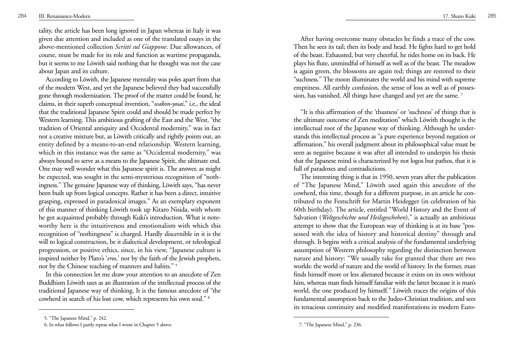tality, the article has been long ignored in Japan whereas in Italy it was <sup>g</sup>iven due attention and included as one of the translated essays in the above-mentioned collection *Scritti sul Giappone*. Due allowances, of course, must be made for its role and function as wartime propaganda, but it seems to me Löwith said nothing that he thought was not the case about Japan and its culture.

According to Löwith, the Japanese mentality was poles apart from that of the modern West, and yet the Japanese believed they had successfully gone through modernization. The proof of the matter could be found, he claims, in their superb conceptual invention, "*wakon-yosai*," i.e., the ideal that the traditional Japanese Spirit could and should be made perfect by Western learning. This ambitious grafting of the East and the West, "the tradition of Oriental antiquity and Occidental modernity," was in fact not a creative mixture but, as Löwith critically and rightly points out, an entity defined by a means-to-an-end relationship. Western learning, which in this instance was the same as "Occidental modernity," was always bound to serve as a means to the Japanese Spirit, the ultimate end. One may well wonder what this Japanese spirit is. The answer, as might be expected, was sought in the semi-mysterious recognition of "nothingness." The genuine Japanese way of thinking, Löwith says, "has never been built up from logical concepts. Rather it has been a direct, intuitive grasping, expressed in paradoxical images." As an exemplary exponent of this manner of thinking Löwith took up Kitaro Nisida, with whom he got acquainted probably through Kuki's introduction. What is noteworthy here is the intuitiveness and emotionalism with which this recognition of "nothingness" is charged. Hardly discernible in it is the will to logical construction, be it dialectical development, or teleological progression, or positive ethics, since, in his view, "Japanese culture is inspired neither by Plato's '*eros*,' nor by the faith of the Jewish prophets, nor by the Chinese teaching of manners and habits." **<sup>5</sup>**

In this connection let me draw your attention to an anecdote of Zen Buddhism Löwith uses as an illustration of the intellectual process of the traditional Japanese way of thinking. It is the famous anecdote of "the cowherd in search of his lost cow, which represents his own soul." **<sup>6</sup>**

After having overcome many obstacles he finds a trace of the cow. Then he sees its tail; then its body and head. He fights hard to get hold of the beast. Exhausted, but very cheerful, he rides home on its back. He plays his flute, unmindful of himself as well as of the beast. The meadow is again green, the blossoms are again red; things are restored to their "suchness." The moon illuminates the world and his mind with supreme emptiness. All earthly confusion, the sense of loss as well as of possession, has vanished. All things have changed and yet are the same. **<sup>7</sup>**

"It is this affirmation of the 'thusness' or 'suchness' of things that is the ultimate outcome of Zen meditation" which Löwith thought is the intellectual root of the Japanese way of thinking. Although he understands this intellectual process as "a pure experience beyond negation or affirmation," his overall judgment about its philosophical value must be seen as negative because it was after all intended to underpin his thesis that the Japanese mind is characterized by not logos but pathos, that it is full of paradoxes and contradictions.

The interesting thing is that in 1950, seven years after the publication of "The Japanese Mind," Löwith used again this anecdote of the cowherd, this time, though for a different purpose, in an article he contributed to the Festschrift for Martin Heidegger (in celebration of his 60th birthday). The article, entitled "World History and the Event of Salvation ( *Weltgeschichte und Heilsgeschehen*)," is actually an ambitious attempt to show that the European way of thinking is at its base "possessed with the idea of history and historical destiny" through and through. It begins with a critical analysis of the fundamental underlying assumption of Western philosophy regarding the distinction between nature and history: "We usually take for granted that there are two worlds: the world of nature and the world of history. In the former, man finds himself more or less alienated because it exists on its own without him, whereas man finds himself familiar with the latter because it is man's world, the one produced by himself." Löwith traces the origins of this fundamental assumption back to the Judeo-Christian tradition, and sees its tenacious continuity and modified manifestations in modern Euro-

<sup>5. &</sup>quot;The Japanese Mind," p. 242.

<sup>6.</sup> In what follows I partly repeat what I wrote in Chapter 5 above. 7. "The Japanese Mind," p. 236.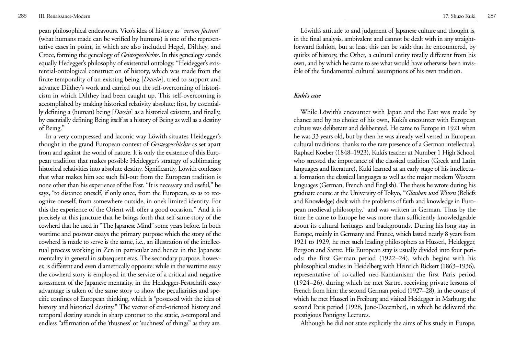pean philosophical endeavours. Vico's idea of history as "*verum factum*" (what humans made can be verified by humans) is one of the representative cases in point, in which are also included Hegel, Dilthey, and Croce, forming the genealogy of *Geistesgeschichte*. In this genealogy stands equally Hedegger's philosophy of existential ontology. "Heidegger's existential-ontological construction of history, which was made from the finite temporality of an existing being [ *Dasein*], tried to support and advance Dilthey's work and carried out the self-overcoming of historicism in which Dilthey had been caught up. This self-overcoming is accomplished by making historical relativity absolute; first, by essentially defining a (human) being [ *Dasein*] as a historical existent, and finally, by essentially defining Being itself as a history of Being as well as a destiny of Being."

In a very compressed and laconic way Löwith situates Heidegger's thought in the grand European context of *Geistesgeschichte* as set apart from and against the world of nature. It is only the existence of this European tradition that makes possible Heidegger's strategy of sublimating historical relativities into absolute destiny. Significantly, Löwith confesses that what makes him see such fall-out from the European tradition is none other than his experience of the East. "It is necessary and useful," he says, "to distance oneself, if only once, from the European, so as to recognize oneself, from somewhere outside, in one's limited identity. For this the experience of the Orient will offer a good occasion." And it is precisely at this juncture that he brings forth that self-same story of the cowherd that he used in "The Japanese Mind" some years before. In both wartime and postwar essays the primary purpose which the story of the cowherd is made to serve is the same, i.e., an illustration of the intellectual process working in Zen in particular and hence in the Japanese mentality in general in subsequent eras. The secondary purpose, however, is different and even diametrically opposite: while in the wartime essay the cowherd story is employed in the service of a critical and negative assessment of the Japanese mentality, in the Heidegger-Festschrift essay advantage is taken of the same story to show the peculiarities and specific confines of European thinking, which is "possessed with the idea of history and historical destiny." The vector of end-oriented history and temporal destiny stands in sharp contrast to the static, a-temporal and endless "affirmation of the 'thusness' or 'suchness' of things" as they are.

Löwith's attitude to and judgment of Japanese culture and thought is, in the final analysis, ambivalent and cannot be dealt with in any straightforward fashion, but at least this can be said: that he encountered, by quirks of history, the Other, a cultural entity totally different from his own, and by which he came to see what would have otherwise been invisible of the fundamental cultural assumptions of his own tradition.

#### *Kuki's case*

While Löwith's encounter with Japan and the East was made by chance and by no choice of his own, Kuki's encounter with European culture was deliberate and deliberated. He came to Europe in 1921 when he was 33 years old, but by then he was already well versed in European cultural traditions: thanks to the rare presence of a German intellectual, Raphael Koeber (1848–1923), Kuki's teacher at Number 1 High School, who stressed the importance of the classical tradition (Greek and Latin languages and literature), Kuki learned at an early stage of his intellectual formation the classical languages as well as the major modern Western languages (German, French and English). The thesis he wrote during his graduate course at the University of Tokyo, " *Glauben und Wissen* (Beliefs and Knowledge) dealt with the problems of faith and knowledge in European medieval philosophy," and was written in German. Thus by the time he came to Europe he was more than sufficiently knowledgeable about its cultural heritages and backgrounds. During his long stay in Europe, mainly in Germany and France, which lasted nearly 8 years from 1921 to 1929, he met such leading philosophers as Husserl, Heidegger, Bergson and Sartre. His European stay is usually divided into four periods: the first German period (1922–24), which begins with his <sup>p</sup>hilosophical studies in Heidelberg with Heinrich Rickert (1863–1936), representative of so-called neo-Kantianism; the first Paris period (1924–26), during which he met Sartre, receiving private lessons of French from him; the second German period (1927–28), in the course of which he met Husserl in Freiburg and visited Heidegger in Marburg; the second Paris period (1928, June-December), in which he delivered the prestigious Pontigny Lectures.

Although he did not state explicitly the aims of his study in Europe,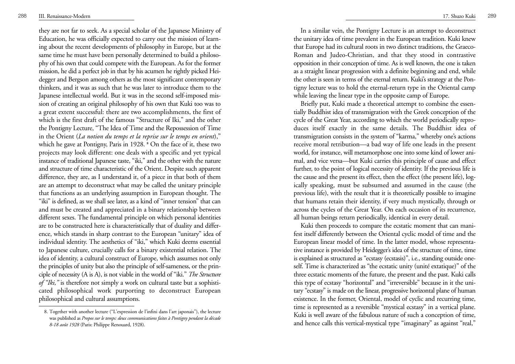they are not far to seek. As a special scholar of the Japanese Ministry of Education, he was officially expected to carry out the mission of learning about the recent developments of philosophy in Europe, but at the same time he must have been personally determined to build a philosophy of his own that could compete with the European. As for the former mission, he did a perfect job in that by his acumen he rightly picked Heidegger and Bergson among others as the most significant contemporary thinkers, and it was as such that he was later to introduce them to the Japanese intellectual world. But it was in the second self-imposed mission of creating an original philosophy of his own that Kuki too was to a great extent successful: there are two accomplishments, the first of which is the first draft of the famous "Structure of Iki," and the other the Pontigny Lecture, "The Idea of Time and the Repossession of Time in the Orient (*La notion du temps et la reprise sur le temps en orient*)," which he gave at Pontigny, Paris in 1928. **<sup>8</sup>** On the face of it, these two projects may look different: one deals with a specific and yet typical instance of traditional Japanese taste, "iki," and the other with the nature and structure of time characteristic of the Orient. Despite such apparent difference, they are, as I understand it, of a piece in that both of them are an attempt to deconstruct what may be called the unitary principle that functions as an underlying assumption in European thought. The "iki" is defined, as we shall see later, as a kind of "inner tension" that can and must be created and appreciated in a binary relationship between different sexes. The fundamental principle on which personal identities are to be constructed here is characteristically that of duality and difference, which stands in sharp contrast to the European "unitary" idea of individual identity. The aesthetics of "iki," which Kuki deems essential to Japanese culture, crucially calls for a binary existential relation. The idea of identity, a cultural construct of Europe, which assumes not only the principles of unity but also the principle of self-sameness, or the principle of necessity (A is A), is not viable in the world of "iki." *The Structure of "Iki,"* is therefore not simply a work on cultural taste but a sophisticated philosophical work purporting to deconstruct European philosophical and cultural assumptions.

8. Together with another lecture ("L'expression de l'infini dans l'art japonais"), the lecture was published as *Propos sur le temps: deux communications faites à Pontigny pendant la décade 8-18 août 1928* (Paris: Philippe Renouard, 1928).

In a similar vein, the Pontigny Lecture is an attempt to deconstruct the unitary idea of time prevalent in the European tradition. Kuki knew that Europe had its cultural roots in two distinct traditions, the Graeco-Roman and Judeo-Christian, and that they stood in contrastive opposition in their conception of time. As is well known, the one is taken as a straight linear progression with a definite beginning and end, while the other is seen in terms of the eternal return. Kuki's strategy at the Pontigny lecture was to hold the eternal-return type in the Oriental camp while leaving the linear type in the opposite camp of Europe.

Briefly put, Kuki made a theoretical attempt to combine the essentially Buddhist idea of transmigration with the Greek conception of the cycle of the Great Year, according to which the world periodically reproduces itself exactly in the same details. The Buddhist idea of transmigration consists in the system of "karma," whereby one's actions receive moral retribution—a bad way of life one leads in the present world, for instance, will metamorphose one into some kind of lower animal, and vice versa—but Kuki carries this principle of cause and effect further, to the point of logical necessity of identity. If the previous life is the cause and the present its effect, then the effect (the present life), logically speaking, must be subsumed and assumed in the cause (the previous life), with the result that it is theoretically possible to imagine that humans retain their identity, if very much mystically, through or across the cycles of the Great Year. On each occasion of its recurrence, all human beings return periodically, identical in every detail.

Kuki then proceeds to compare the ecstatic moment that can manifest itself differently between the Oriental cyclic model of time and the European linear model of time. In the latter model, whose representative instance is provided by Heidegger's idea of the structure of time, time is explained as structured as "ecstasy (ecstasis)", i.e., standing outside oneself. Time is characterized as "the ecstatic unity (unité extatique)" of the three ecstatic moments of the future, the present and the past. Kuki calls this type of ecstasy "horizontal" and "irreversible" because in it the unitary "ecstasy" is made on the linear, progressive horizontal plane of human existence. In the former, Oriental, model of cyclic and recurring time, time is represented as a reversible "mystical ecstasy" in a vertical plane. Kuki is well aware of the fabulous nature of such a conception of time, and hence calls this vertical-mystical type "imaginary" as against "real,"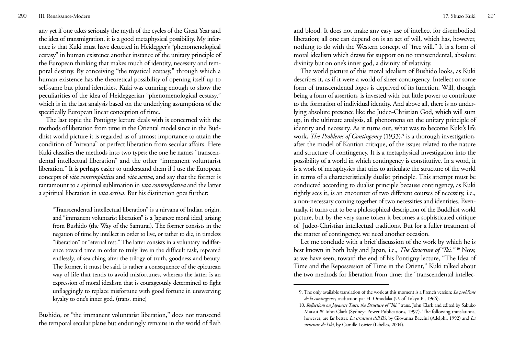any yet if one takes seriously the myth of the cycles of the Great Year and the idea of transmigration, it is a good metaphysical possibility. My infer ence is that Kuki must have detected in Heidegger's "phenomenological ecstasy" in human existence another instance of the unitary principle of the European thinking that makes much of identity, necessity and tem poral destiny. By conceiving "the mystical ecstasy," through which a human existence has the theoretical possibility of opening itself up to self-same but plural identities, Kuki was cunning enough to show the peculiarities of the idea of Heideggerian "phenomenological ecstasy," which is in the last analysis based on the underlying assumptions of the specifically European linear conception of time. The last topic the Pontigny lecture deals with is concerned with the

methods of liberation from time in the Oriental model since in the Bud dhist world picture it is regarded as of utmost importance to attain the condition of "nirvana" or perfect liberation from secular affairs. Here Kuki classifies the methods into two types: the one he names "transcendental intellectual liberation" and the other "immanent voluntarist liberation." It is perhaps easier to understand them if I use the European concepts of *vita contemplativa* and *vita activa*, and say that the former is tantamount to a spiritual sublimation in *vita contemplativa* and the latter a spiritual liberation in *vita activa*. But his distinction goes further:

"Transcendental intellectual liberation" is a nirvana of Indian origin, and "immanent voluntarist liberation" is a Japanese moral ideal, arising from Bushido (the Way of the Samurai). The former consists in the negation of time by intellect in order to live, or rather to die, in timeless "liberation" or "eternal rest." The latter consists in a voluntary indifference toward time in order to truly live in the difficult task, repeated endlessly, of searching after the trilogy of truth, goodness and beauty. The former, it must be said, is rather a consequence of the epicurean way of life that tends to avoid misfortunes, whereas the latter is an expression of moral idealism that is courageously determined to fight unflaggingly to replace misfortune with good fortune in unswerving loyalty to one's inner god. (trans. mine)

Bushido, or "the immanent voluntarist liberation," does not transcend the temporal secular plane but enduringly remains in the world of flesh and blood. It does not make any easy use of intellect for disembodied liberation; all one can depend on is an act of will, which has, however, nothing to do with the Western concept of "free will." It is a form of moral idealism which draws for support on no transcendental, absolute divinity but on one's inner god, a divinity of relativity.

The world picture of this moral idealism of Bushido looks, as Kuki describes it, as if it were a world of sheer contingency. Intellect or some form of transcendental logos is deprived of its function. Will, though being a form of assertion, is invested with but little power to contribute to the formation of individual identity. And above all, there is no underlying absolute presence like the Judeo-Christian God, which will sum up, in the ultimate analysis, all phenomena on the unitary principle of identity and necessity. As it turns out, what was to become Kuki's life work, *The Problems of Contingency* (1933),**<sup>9</sup>** is a thorough investigation, after the model of Kantian critique, of the issues related to the nature and structure of contingency. It is a metaphysical investigation into the possibility of a world in which contingency is constitutive. In a word, it is a work of metaphysics that tries to articulate the structure of the world in terms of a characteristically dualist principle. This attempt must be conducted according to dualist principle because contingency, as Kuki rightly sees it, is an encounter of two different courses of necessity, i.e., a non-necessary coming together of two necessities and identities. Eventually, it turns out to be a philosophical description of the Buddhist world picture, but by the very same token it becomes a sophisticated critique of Judeo-Christian intellectual traditions. But for a fuller treatment of the matter of contingency, we need another occasion.

Let me conclude with a brief discussion of the work by which he is best known in both Italy and Japan, i.e., *The Structure of "Iki."* **<sup>10</sup>** Now, as we have seen, toward the end of his Pontigny lecture, "The Idea of Time and the Repossession of Time in the Orient," Kuki talked about the two methods for liberation from time: the "transcendental intellec-

<sup>9.</sup> The only available translation of the work at this moment is a French version: *Le problème de la contingence*, traduction par H. Omodaka (U. of Tokyo P., 1966).

<sup>10.</sup> *Reflections on Japanese Taste: the Structure of "Iki,"* trans. John Clark and edited by Sakuko Matsui & John Clark (Sydney: Power Publications, 1997). The following translations, however, are far better: *La struttura dell'Iki*, by Giovanna Baccini (Adelphi, 1992) and *La structure de l'iki*, by Camille Loivier (Libelles, 2004).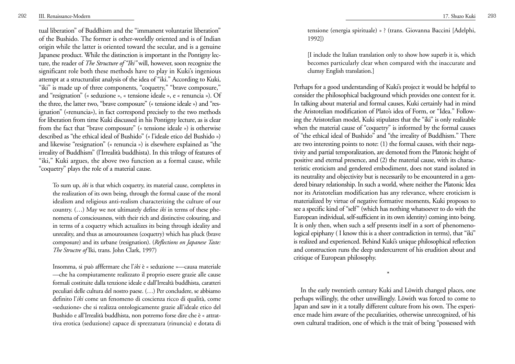tual liberation" of Buddhism and the "immanent voluntarist liberation" of the Bushido. The former is other-worldly oriented and is of Indian origin while the latter is oriented toward the secular, and is a genuine Japanese product. While the distinction is important in the Pontigny lecture, the reader of *The Structure of "Iki"* will, however, soon recognize the significant role both these methods have to play in Kuki's ingenious attempt at a structuralist analysis of the idea of "iki." According to Kuki, "iki" is made up of three components, "coquetry," "brave composure," and "resignation" (« seduzione », « tensione ideale », e « renuncia »). Of the three, the latter two, "brave composure" (« tensione ideale ») and "resignation" («renuncia»), in fact correspond precisely to the two methods for liberation from time Kuki discussed in his Pontigny lecture, as is clear from the fact that "brave composure" (« tensione ideale ») is otherwise described as "the ethical ideal of Bushido" (« l'ideale etico del Bushido ») and likewise "resignation" (« renuncia ») is elsewhere explained as "the irreality of Buddhism" (l'Irrealità buddhista). In this trilogy of features of "iki," Kuki argues, the above two function as a formal cause, while "coquetry" plays the role of a material cause.

To sum up, *iki* is that which coquetry, its material cause, completes in the realization of its own being, through the formal cause of the moral idealism and religious anti-realism characterizing the culture of our country. (…) May we not ultimately define *iki* in terms of these phenomena of consciousness, with their rich and distinctive colouring, and in terms of a coquetry which actualizes its being through ideality and unreality, and thus as amourousness (coquetry) which has pluck (brave composure) and its urbane (resignation). ( *Reflections on Japanese Taste: The Structre of* Iki, trans. John Clark, 1997)

Insomma, si può afffermare che l'*iki* è « seduzione »—causa materiale —che ha compiutamente realizzato il proprio essere grazie alle cause formali costituite dalla tenzione ideale e dall'Irrealtà buddhista, caratteri peculiari delle cultura del nostro paese. (…) Per concludere, se abbiamo definito l'*iki* come un fenomeno di coscienza ricco di qualità, come «seduzione» che si realizza ontologicamente grazie all'ideale etico del Bushido e all'Irrealità buddhista, non potremo forse dire che è « attrattiva erotica (seduzione) capace di sprezzatura (rinuncia) e dotata di tensione (energia spirituale) » ? (trans. Giovanna Baccini [Adelphi, 1992])

[I include the Italian translation only to show how superb it is, which becomes particularly clear when compared with the inaccurate and clumsy English translation.]

Perhaps for a good understanding of Kuki's project it would be helpful to consider the philosophical background which provides one context for it. In talking about material and formal causes, Kuki certainly had in mind the Aristotelian modification of Plato's idea of Form, or "Idea." Following the Aristotelian model, Kuki stipulates that the "iki" is only realizable when the material cause of "coquetry" is informed by the formal causes of "the ethical ideal of Bushido" and "the irreality of Buddhism." There are two interesting points to note: (1) the formal causes, with their negativity and partial temporalization, are demoted from the Platonic height of positive and eternal presence, and (2) the material cause, with its characteristic eroticism and gendered embodiment, does not stand isolated in its neutrality and objectivity but is necessarily to be encountered in a gendered binary relationship. In such a world, where neither the Platonic Idea nor its Aristotelian modification has any relevance, where eroticism is materialized by virtue of negative formative moments, Kuki proposes to see a specific kind of "self" (which has nothing whatsoever to do with the European individual, self-sufficient in its own identity) coming into being. It is only then, when such a self presents itself in a sort of phenomenological epiphany ( I know this is a sheer contradiction in terms), that "iki" is realized and experienced. Behind Kuki's unique philosophical reflection and construction runs the deep undercurrent of his erudition about and critique of European philosophy.

\*

In the early twentieth century Kuki and Löwith changed places, one perhaps willingly, the other unwillingly. Löwith was forced to come to Japan and saw in it a totally different culture from his own. The experience made him aware of the peculiarities, otherwise unrecognized, of his own cultural tradition, one of which is the trait of being "possessed with